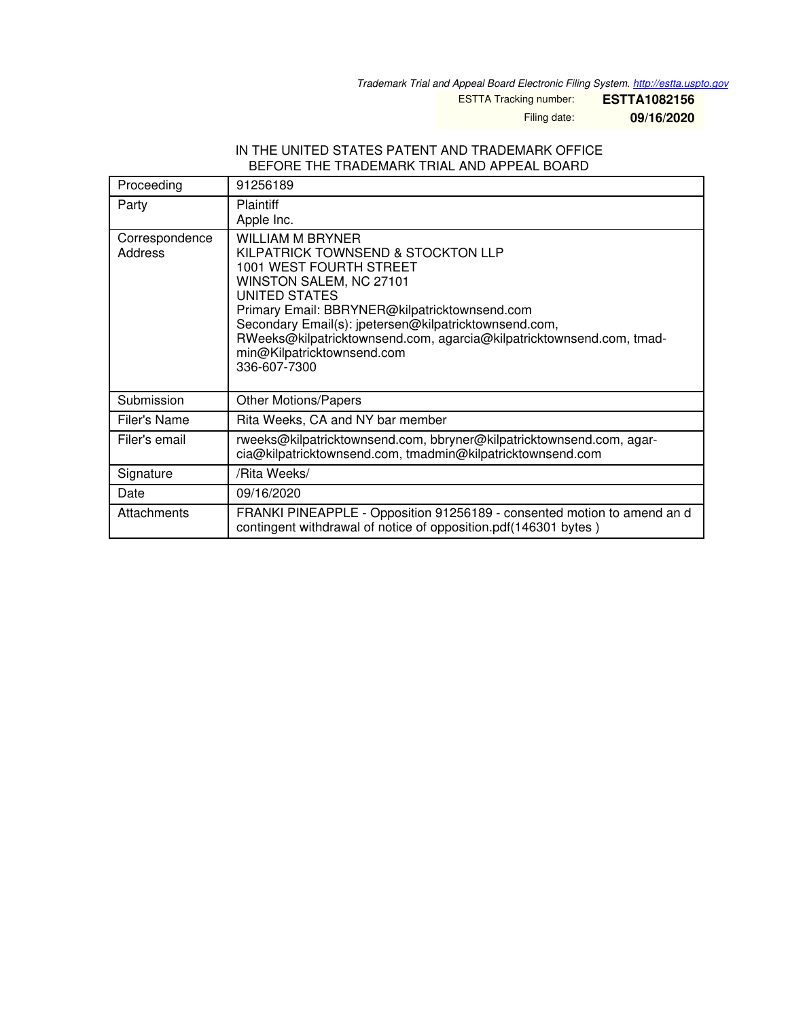*Trademark Trial and Appeal Board Electronic Filing System. <http://estta.uspto.gov>*

ESTTA Tracking number: **ESTTA1082156**

Filing date: **09/16/2020**

#### IN THE UNITED STATES PATENT AND TRADEMARK OFFICE BEFORE THE TRADEMARK TRIAL AND APPEAL BOARD

| Proceeding                | 91256189                                                                                                                                                                                                                                                                                                                                                      |
|---------------------------|---------------------------------------------------------------------------------------------------------------------------------------------------------------------------------------------------------------------------------------------------------------------------------------------------------------------------------------------------------------|
| Party                     | <b>Plaintiff</b><br>Apple Inc.                                                                                                                                                                                                                                                                                                                                |
| Correspondence<br>Address | WILLIAM M BRYNER<br>KILPATRICK TOWNSEND & STOCKTON LLP<br>1001 WEST FOURTH STREET<br>WINSTON SALEM, NC 27101<br>UNITED STATES<br>Primary Email: BBRYNER@kilpatricktownsend.com<br>Secondary Email(s): jpetersen@kilpatricktownsend.com,<br>RWeeks@kilpatricktownsend.com, agarcia@kilpatricktownsend.com, tmad-<br>min@Kilpatricktownsend.com<br>336-607-7300 |
| Submission                | <b>Other Motions/Papers</b>                                                                                                                                                                                                                                                                                                                                   |
| Filer's Name              | Rita Weeks, CA and NY bar member                                                                                                                                                                                                                                                                                                                              |
| Filer's email             | rweeks@kilpatricktownsend.com, bbryner@kilpatricktownsend.com, agar-<br>cia@kilpatricktownsend.com, tmadmin@kilpatricktownsend.com                                                                                                                                                                                                                            |
| Signature                 | /Rita Weeks/                                                                                                                                                                                                                                                                                                                                                  |
| Date                      | 09/16/2020                                                                                                                                                                                                                                                                                                                                                    |
| Attachments               | FRANKI PINEAPPLE - Opposition 91256189 - consented motion to amend an d<br>contingent withdrawal of notice of opposition.pdf(146301 bytes)                                                                                                                                                                                                                    |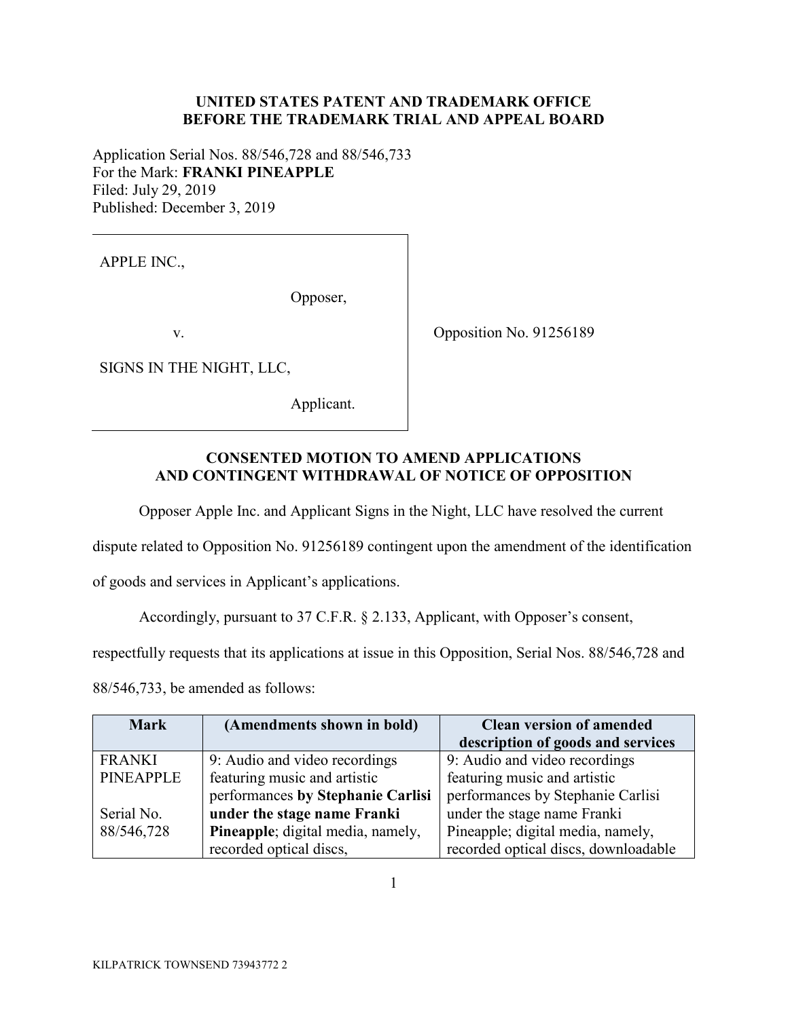## **UNITED STATES PATENT AND TRADEMARK OFFICE BEFORE THE TRADEMARK TRIAL AND APPEAL BOARD**

Application Serial Nos. 88/546,728 and 88/546,733 For the Mark: **FRANKI PINEAPPLE**  Filed: July 29, 2019 Published: December 3, 2019

APPLE INC.,

Opposer,

v.

SIGNS IN THE NIGHT, LLC,

Applicant.

Opposition No. 91256189

## **CONSENTED MOTION TO AMEND APPLICATIONS AND CONTINGENT WITHDRAWAL OF NOTICE OF OPPOSITION**

Opposer Apple Inc. and Applicant Signs in the Night, LLC have resolved the current

dispute related to Opposition No. 91256189 contingent upon the amendment of the identification

of goods and services in Applicant's applications.

Accordingly, pursuant to 37 C.F.R. § 2.133, Applicant, with Opposer's consent,

respectfully requests that its applications at issue in this Opposition, Serial Nos. 88/546,728 and

88/546,733, be amended as follows:

| <b>Mark</b>      | (Amendments shown in bold)        | <b>Clean version of amended</b>      |
|------------------|-----------------------------------|--------------------------------------|
|                  |                                   | description of goods and services    |
| <b>FRANKI</b>    | 9: Audio and video recordings     | 9: Audio and video recordings        |
| <b>PINEAPPLE</b> | featuring music and artistic      | featuring music and artistic         |
|                  | performances by Stephanie Carlisi | performances by Stephanie Carlisi    |
| Serial No.       | under the stage name Franki       | under the stage name Franki          |
| 88/546,728       | Pineapple; digital media, namely, | Pineapple; digital media, namely,    |
|                  | recorded optical discs,           | recorded optical discs, downloadable |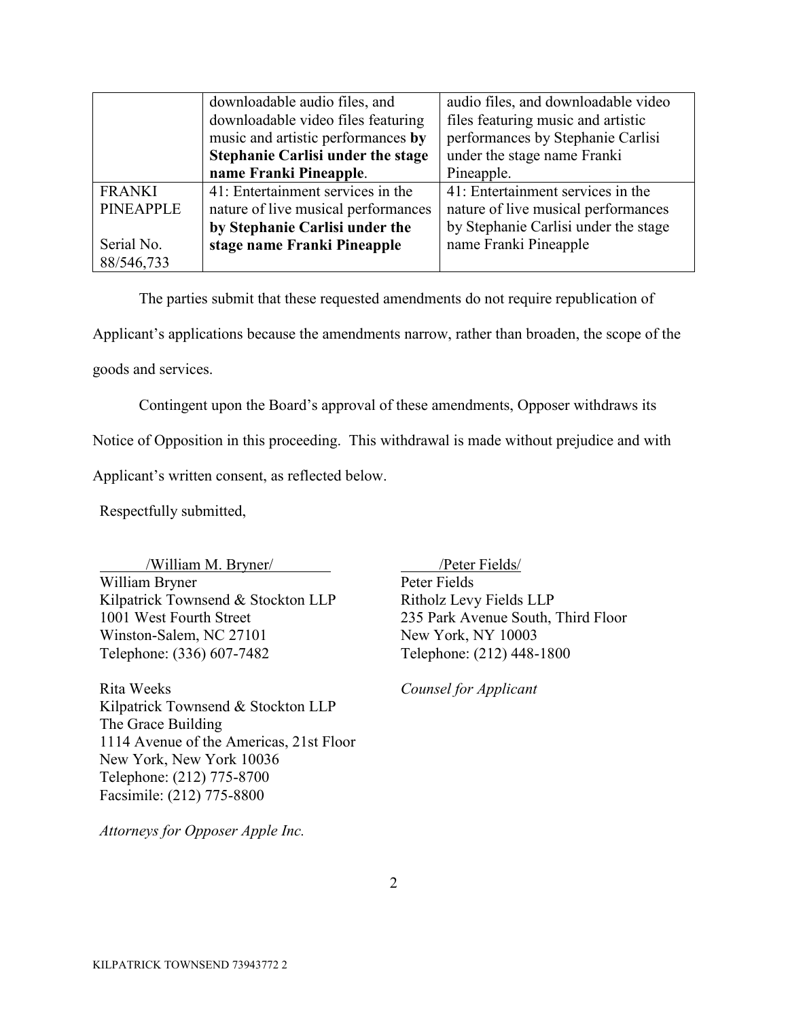|                  | downloadable audio files, and            | audio files, and downloadable video  |
|------------------|------------------------------------------|--------------------------------------|
|                  | downloadable video files featuring       | files featuring music and artistic   |
|                  | music and artistic performances by       | performances by Stephanie Carlisi    |
|                  | <b>Stephanie Carlisi under the stage</b> | under the stage name Franki          |
|                  | name Franki Pineapple.                   | Pineapple.                           |
| <b>FRANKI</b>    | 41: Entertainment services in the        | 41: Entertainment services in the    |
| <b>PINEAPPLE</b> | nature of live musical performances      | nature of live musical performances  |
|                  | by Stephanie Carlisi under the           | by Stephanie Carlisi under the stage |
| Serial No.       | stage name Franki Pineapple              | name Franki Pineapple                |
| 88/546,733       |                                          |                                      |

The parties submit that these requested amendments do not require republication of Applicant's applications because the amendments narrow, rather than broaden, the scope of the

goods and services.

Contingent upon the Board's approval of these amendments, Opposer withdraws its

Notice of Opposition in this proceeding. This withdrawal is made without prejudice and with

Applicant's written consent, as reflected below.

Respectfully submitted,

/William M. Bryner/ William Bryner Kilpatrick Townsend & Stockton LLP 1001 West Fourth Street Winston-Salem, NC 27101 Telephone: (336) 607-7482

Rita Weeks Kilpatrick Townsend & Stockton LLP The Grace Building 1114 Avenue of the Americas, 21st Floor New York, New York 10036 Telephone: (212) 775-8700 Facsimile: (212) 775-8800

 /Peter Fields/ Peter Fields Ritholz Levy Fields LLP 235 Park Avenue South, Third Floor New York, NY 10003 Telephone: (212) 448-1800

*Counsel for Applicant* 

*Attorneys for Opposer Apple Inc.*